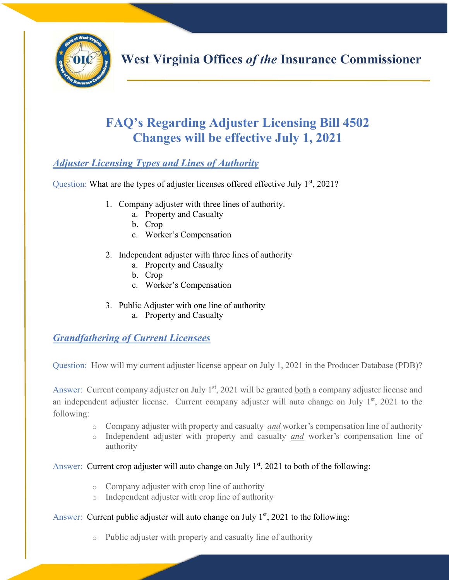

# **FAQ's Regarding Adjuster Licensing Bill 4502 Changes will be effective July 1, 2021**

# *Adjuster Licensing Types and Lines of Authority*

Question: What are the types of adjuster licenses offered effective July  $1<sup>st</sup>$ , 2021?

- 1. Company adjuster with three lines of authority.
	- a. Property and Casualty
	- b. Crop
	- c. Worker's Compensation
- 2. Independent adjuster with three lines of authority
	- a. Property and Casualty
	- b. Crop
	- c. Worker's Compensation
- 3. Public Adjuster with one line of authority
	- a. Property and Casualty

*Grandfathering of Current Licensees* 

Question: How will my current adjuster license appear on July 1, 2021 in the Producer Database (PDB)?

Answer: Current company adjuster on July 1<sup>st</sup>, 2021 will be granted both a company adjuster license and an independent adjuster license. Current company adjuster will auto change on July  $1<sup>st</sup>$ , 2021 to the following:

- <sup>o</sup> Company adjuster with property and casualty *and* worker's compensation line of authority
- <sup>o</sup> Independent adjuster with property and casualty *and* worker's compensation line of authority

#### Answer: Current crop adjuster will auto change on July  $1<sup>st</sup>$ , 2021 to both of the following:

- o Company adjuster with crop line of authority
- o Independent adjuster with crop line of authority

#### Answer: Current public adjuster will auto change on July  $1<sup>st</sup>$ , 2021 to the following:

o Public adjuster with property and casualty line of authority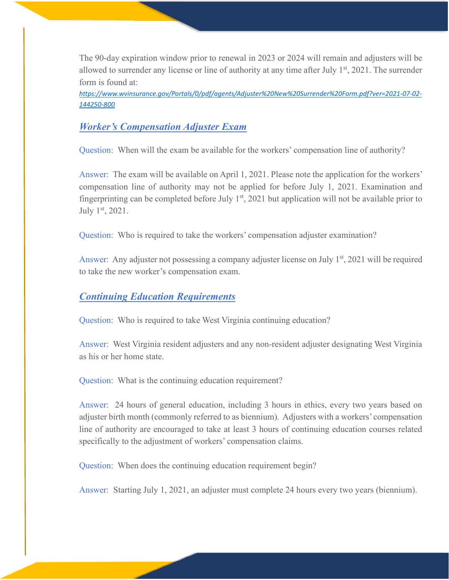The 90-day expiration window prior to renewal in 2023 or 2024 will remain and adjusters will be allowed to surrender any license or line of authority at any time after July  $1<sup>st</sup>$ , 2021. The surrender form is found at:

*[http](https://www.wvinsurance.gov/Portals/0/pdf/agents/Adjuster New Surrender Form.pdf?ver=2021-07-02-144250-800)s://www.wvinsurance.gov/Portals/0/pdf/agents/Adjuster%20New%20Surrender%20Form.pdf?ver=2021-07-02- 144250-800* 

## *Worker's Compensation Adjuster Exam*

Question: When will the exam be available for the workers' compensation line of authority?

Answer: The exam will be available on April 1, 2021. Please note the application for the workers' compensation line of authority may not be applied for before July 1, 2021. Examination and fingerprinting can be completed before July  $1<sup>st</sup>$ , 2021 but application will not be available prior to July 1st, 2021.

Question: Who is required to take the workers' compensation adjuster examination?

Answer: Any adjuster not possessing a company adjuster license on July  $1<sup>st</sup>$ , 2021 will be required to take the new worker's compensation exam.

#### *Continuing Education Requirements*

Question: Who is required to take West Virginia continuing education?

Answer: West Virginia resident adjusters and any non-resident adjuster designating West Virginia as his or her home state.

Question: What is the continuing education requirement?

Answer: 24 hours of general education, including 3 hours in ethics, every two years based on adjuster birth month (commonly referred to as biennium). Adjusters with a workers' compensation line of authority are encouraged to take at least 3 hours of continuing education courses related specifically to the adjustment of workers' compensation claims.

Question: When does the continuing education requirement begin?

Answer: Starting July 1, 2021, an adjuster must complete 24 hours every two years (biennium).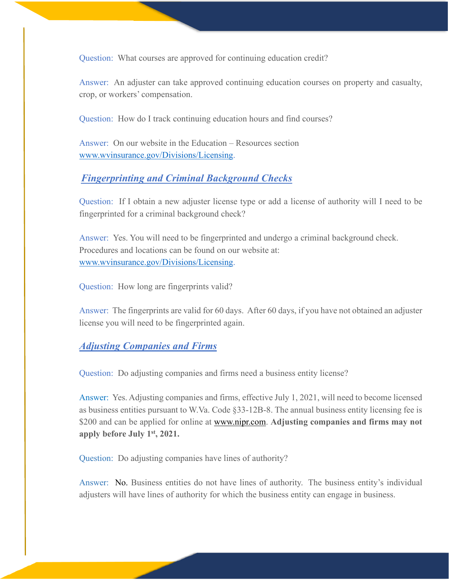Question: What courses are approved for continuing education credit?

Answer: An adjuster can take approved continuing education courses on property and casualty, crop, or workers' compensation.

Question: How do I track continuing education hours and find courses?

Answer: On our website in the Education – Resources section [www.wvinsurance.gov/Divisions/Licensing.](http://www.wvinsurance.gov/Divisions/Licensing)

#### *Fingerprinting and Criminal Background Checks*

Question: If I obtain a new adjuster license type or add a license of authority will I need to be fingerprinted for a criminal background check?

Answer: Yes. You will need to be fingerprinted and undergo a criminal background check. Procedures and locations can be found on our website at: [www.wvinsurance.gov/Divisions/Licensing.](http://www.wvinsurance.gov/Divisions/Licensing)

Question: How long are fingerprints valid?

Answer: The fingerprints are valid for 60 days. After 60 days, if you have not obtained an adjuster license you will need to be fingerprinted again.

#### *Adjusting Companies and Firms*

Question: Do adjusting companies and firms need a business entity license?

Answer: Yes. Adjusting companies and firms, effective July 1, 2021, will need to become licensed as business entities pursuant to W.Va. Code §33-12B-8. The annual business entity licensing fee is \$200 and can be applied for o[nline at www.nipr.com](http://www.nipr.com/). **Adjusting companies and firms may not apply before July 1st, 2021.** 

Question: Do adjusting companies have lines of authority?

Answer: No. Business entities do not have lines of authority. The business entity's individual adjusters will have lines of authority for which the business entity can engage in business.